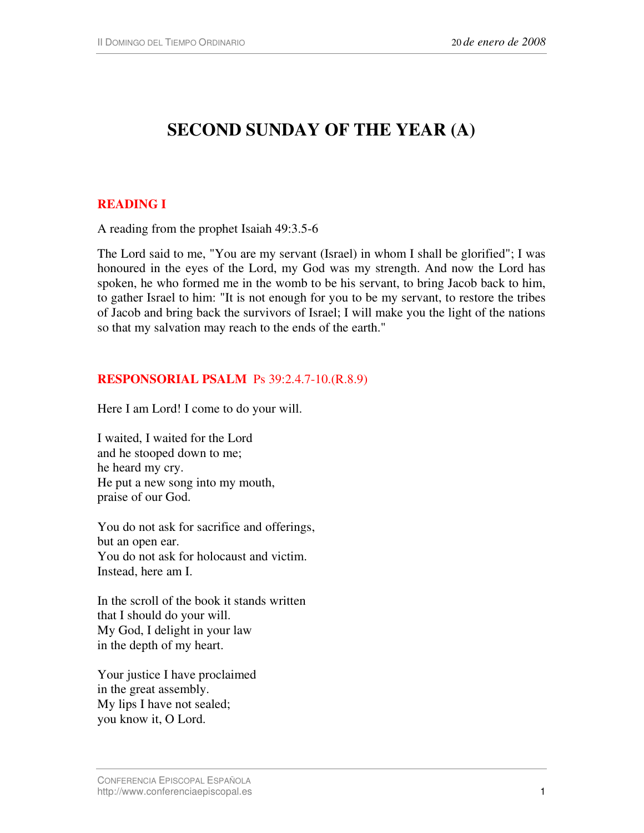# **SECOND SUNDAY OF THE YEAR (A)**

## **READING I**

A reading from the prophet Isaiah 49:3.5-6

The Lord said to me, "You are my servant (Israel) in whom I shall be glorified"; I was honoured in the eyes of the Lord, my God was my strength. And now the Lord has spoken, he who formed me in the womb to be his servant, to bring Jacob back to him, to gather Israel to him: "It is not enough for you to be my servant, to restore the tribes of Jacob and bring back the survivors of Israel; I will make you the light of the nations so that my salvation may reach to the ends of the earth."

#### **RESPONSORIAL PSALM** Ps 39:2.4.7-10.(R.8.9)

Here I am Lord! I come to do your will.

I waited, I waited for the Lord and he stooped down to me; he heard my cry. He put a new song into my mouth, praise of our God.

You do not ask for sacrifice and offerings, but an open ear. You do not ask for holocaust and victim. Instead, here am I.

In the scroll of the book it stands written that I should do your will. My God, I delight in your law in the depth of my heart.

Your justice I have proclaimed in the great assembly. My lips I have not sealed; you know it, O Lord.